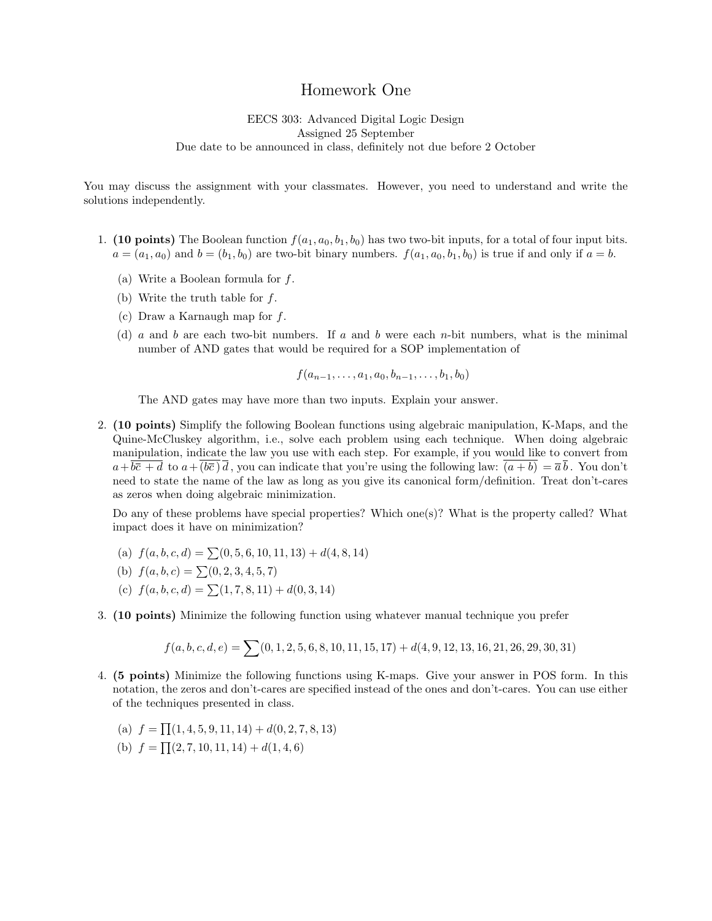## Homework One

EECS 303: Advanced Digital Logic Design Assigned 25 September Due date to be announced in class, definitely not due before 2 October

You may discuss the assignment with your classmates. However, you need to understand and write the solutions independently.

- 1. (10 points) The Boolean function  $f(a_1, a_0, b_1, b_0)$  has two two-bit inputs, for a total of four input bits.  $a = (a_1, a_0)$  and  $b = (b_1, b_0)$  are two-bit binary numbers.  $f(a_1, a_0, b_1, b_0)$  is true if and only if  $a = b$ .
	- (a) Write a Boolean formula for f.
	- (b) Write the truth table for  $f$ .
	- (c) Draw a Karnaugh map for f.
	- (d) a and b are each two-bit numbers. If a and b were each n-bit numbers, what is the minimal number of AND gates that would be required for a SOP implementation of

 $f(a_{n-1}, \ldots, a_1, a_0, b_{n-1}, \ldots, b_1, b_0)$ 

The AND gates may have more than two inputs. Explain your answer.

2. (10 points) Simplify the following Boolean functions using algebraic manipulation, K-Maps, and the Quine-McCluskey algorithm, i.e., solve each problem using each technique. When doing algebraic manipulation, indicate the law you use with each step. For example, if you would like to convert from  $a+\overline{b\overline{c}+d}$  to  $a+(\overline{b\overline{c}})\overline{d}$ , you can indicate that you're using the following law:  $(a+b)=\overline{a}\,\overline{b}$ . You don't need to state the name of the law as long as you give its canonical form/definition. Treat don't-cares as zeros when doing algebraic minimization.

Do any of these problems have special properties? Which one(s)? What is the property called? What impact does it have on minimization?

- (a)  $f(a, b, c, d) = \sum (0, 5, 6, 10, 11, 13) + d(4, 8, 14)$
- (b)  $f(a, b, c) = \sum (0, 2, 3, 4, 5, 7)$
- (c)  $f(a, b, c, d) = \sum (1, 7, 8, 11) + d(0, 3, 14)$
- 3. (10 points) Minimize the following function using whatever manual technique you prefer

$$
f(a, b, c, d, e) = \sum (0, 1, 2, 5, 6, 8, 10, 11, 15, 17) + d(4, 9, 12, 13, 16, 21, 26, 29, 30, 31)
$$

- 4. (5 points) Minimize the following functions using K-maps. Give your answer in POS form. In this notation, the zeros and don't-cares are specified instead of the ones and don't-cares. You can use either of the techniques presented in class.
	- (a)  $f = \prod(1, 4, 5, 9, 11, 14) + d(0, 2, 7, 8, 13)$
	- (b)  $f = \prod(2, 7, 10, 11, 14) + d(1, 4, 6)$